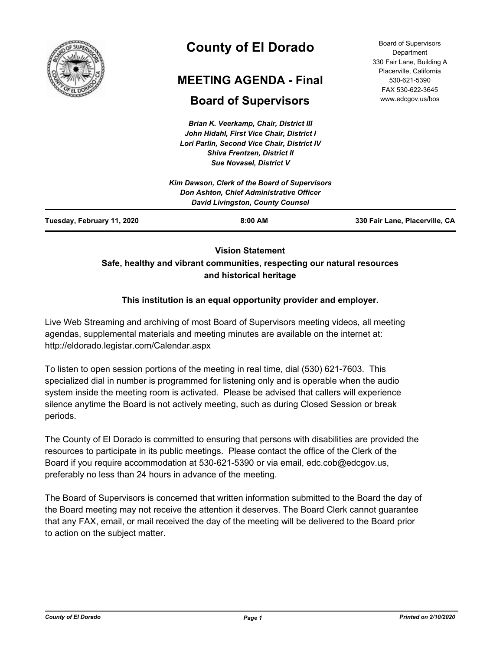

# **County of El Dorado**

# **MEETING AGENDA - Final**

# **Board of Supervisors**

*Brian K. Veerkamp, Chair, District III John Hidahl, First Vice Chair, District I Lori Parlin, Second Vice Chair, District IV Shiva Frentzen, District II Sue Novasel, District V*

Board of Supervisors **Department** 330 Fair Lane, Building A Placerville, California 530-621-5390 FAX 530-622-3645 www.edcgov.us/bos

| $8:00$ AM                                                                           | 330 Fair Lane, Placerville, CA |
|-------------------------------------------------------------------------------------|--------------------------------|
| Don Ashton, Chief Administrative Officer<br><b>David Livingston, County Counsel</b> |                                |
| Kim Dawson, Clerk of the Board of Supervisors                                       |                                |
|                                                                                     |                                |

# **Vision Statement Safe, healthy and vibrant communities, respecting our natural resources and historical heritage**

# **This institution is an equal opportunity provider and employer.**

Live Web Streaming and archiving of most Board of Supervisors meeting videos, all meeting agendas, supplemental materials and meeting minutes are available on the internet at: http://eldorado.legistar.com/Calendar.aspx

To listen to open session portions of the meeting in real time, dial (530) 621-7603. This specialized dial in number is programmed for listening only and is operable when the audio system inside the meeting room is activated. Please be advised that callers will experience silence anytime the Board is not actively meeting, such as during Closed Session or break periods.

The County of El Dorado is committed to ensuring that persons with disabilities are provided the resources to participate in its public meetings. Please contact the office of the Clerk of the Board if you require accommodation at 530-621-5390 or via email, edc.cob@edcgov.us, preferably no less than 24 hours in advance of the meeting.

The Board of Supervisors is concerned that written information submitted to the Board the day of the Board meeting may not receive the attention it deserves. The Board Clerk cannot guarantee that any FAX, email, or mail received the day of the meeting will be delivered to the Board prior to action on the subject matter.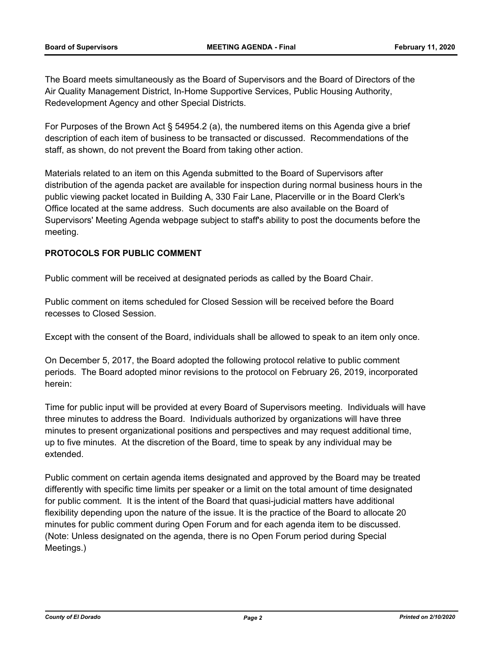The Board meets simultaneously as the Board of Supervisors and the Board of Directors of the Air Quality Management District, In-Home Supportive Services, Public Housing Authority, Redevelopment Agency and other Special Districts.

For Purposes of the Brown Act § 54954.2 (a), the numbered items on this Agenda give a brief description of each item of business to be transacted or discussed. Recommendations of the staff, as shown, do not prevent the Board from taking other action.

Materials related to an item on this Agenda submitted to the Board of Supervisors after distribution of the agenda packet are available for inspection during normal business hours in the public viewing packet located in Building A, 330 Fair Lane, Placerville or in the Board Clerk's Office located at the same address. Such documents are also available on the Board of Supervisors' Meeting Agenda webpage subject to staff's ability to post the documents before the meeting.

## **PROTOCOLS FOR PUBLIC COMMENT**

Public comment will be received at designated periods as called by the Board Chair.

Public comment on items scheduled for Closed Session will be received before the Board recesses to Closed Session.

Except with the consent of the Board, individuals shall be allowed to speak to an item only once.

On December 5, 2017, the Board adopted the following protocol relative to public comment periods. The Board adopted minor revisions to the protocol on February 26, 2019, incorporated herein:

Time for public input will be provided at every Board of Supervisors meeting. Individuals will have three minutes to address the Board. Individuals authorized by organizations will have three minutes to present organizational positions and perspectives and may request additional time, up to five minutes. At the discretion of the Board, time to speak by any individual may be extended.

Public comment on certain agenda items designated and approved by the Board may be treated differently with specific time limits per speaker or a limit on the total amount of time designated for public comment. It is the intent of the Board that quasi-judicial matters have additional flexibility depending upon the nature of the issue. It is the practice of the Board to allocate 20 minutes for public comment during Open Forum and for each agenda item to be discussed. (Note: Unless designated on the agenda, there is no Open Forum period during Special Meetings.)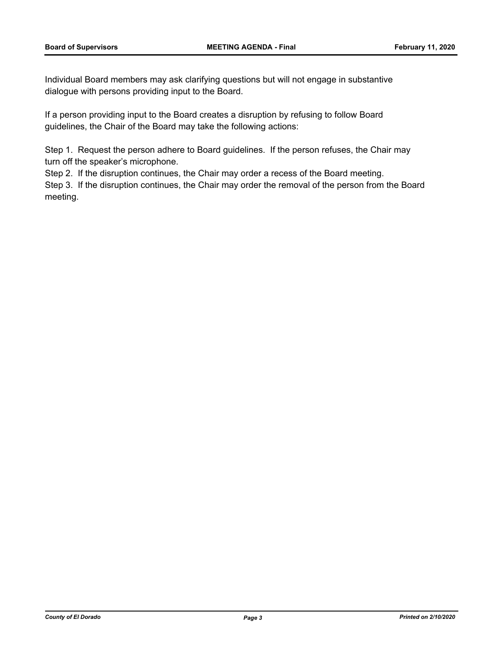Individual Board members may ask clarifying questions but will not engage in substantive dialogue with persons providing input to the Board.

If a person providing input to the Board creates a disruption by refusing to follow Board guidelines, the Chair of the Board may take the following actions:

Step 1. Request the person adhere to Board guidelines. If the person refuses, the Chair may turn off the speaker's microphone.

Step 2. If the disruption continues, the Chair may order a recess of the Board meeting.

Step 3. If the disruption continues, the Chair may order the removal of the person from the Board meeting.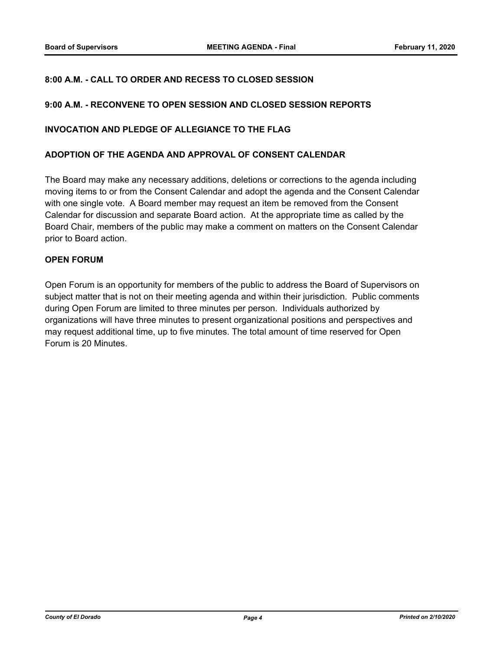### **8:00 A.M. - CALL TO ORDER AND RECESS TO CLOSED SESSION**

#### **9:00 A.M. - RECONVENE TO OPEN SESSION AND CLOSED SESSION REPORTS**

#### **INVOCATION AND PLEDGE OF ALLEGIANCE TO THE FLAG**

#### **ADOPTION OF THE AGENDA AND APPROVAL OF CONSENT CALENDAR**

The Board may make any necessary additions, deletions or corrections to the agenda including moving items to or from the Consent Calendar and adopt the agenda and the Consent Calendar with one single vote. A Board member may request an item be removed from the Consent Calendar for discussion and separate Board action. At the appropriate time as called by the Board Chair, members of the public may make a comment on matters on the Consent Calendar prior to Board action.

#### **OPEN FORUM**

Open Forum is an opportunity for members of the public to address the Board of Supervisors on subject matter that is not on their meeting agenda and within their jurisdiction. Public comments during Open Forum are limited to three minutes per person. Individuals authorized by organizations will have three minutes to present organizational positions and perspectives and may request additional time, up to five minutes. The total amount of time reserved for Open Forum is 20 Minutes.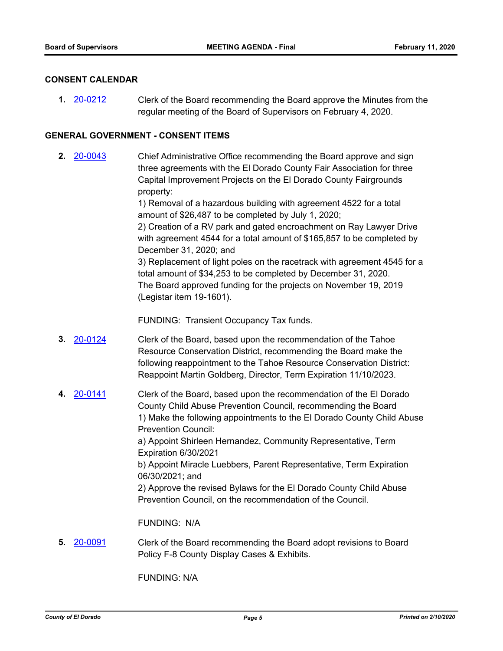#### **CONSENT CALENDAR**

Clerk of the Board recommending the Board approve the Minutes from the regular meeting of the Board of Supervisors on February 4, 2020. **1.** [20-0212](http://eldorado.legistar.com/gateway.aspx?m=l&id=/matter.aspx?key=27417)

#### **GENERAL GOVERNMENT - CONSENT ITEMS**

Chief Administrative Office recommending the Board approve and sign three agreements with the El Dorado County Fair Association for three Capital Improvement Projects on the El Dorado County Fairgrounds property: **2.** [20-0043](http://eldorado.legistar.com/gateway.aspx?m=l&id=/matter.aspx?key=27248)

> 1) Removal of a hazardous building with agreement 4522 for a total amount of \$26,487 to be completed by July 1, 2020; 2) Creation of a RV park and gated encroachment on Ray Lawyer Drive with agreement 4544 for a total amount of \$165,857 to be completed by December 31, 2020; and

3) Replacement of light poles on the racetrack with agreement 4545 for a total amount of \$34,253 to be completed by December 31, 2020. The Board approved funding for the projects on November 19, 2019 (Legistar item 19-1601).

FUNDING: Transient Occupancy Tax funds.

- Clerk of the Board, based upon the recommendation of the Tahoe Resource Conservation District, recommending the Board make the following reappointment to the Tahoe Resource Conservation District: Reappoint Martin Goldberg, Director, Term Expiration 11/10/2023. **3.** [20-0124](http://eldorado.legistar.com/gateway.aspx?m=l&id=/matter.aspx?key=27329)
- Clerk of the Board, based upon the recommendation of the El Dorado County Child Abuse Prevention Council, recommending the Board 1) Make the following appointments to the El Dorado County Child Abuse Prevention Council: a) Appoint Shirleen Hernandez, Community Representative, Term **4.** [20-0141](http://eldorado.legistar.com/gateway.aspx?m=l&id=/matter.aspx?key=27346)

Expiration 6/30/2021 b) Appoint Miracle Luebbers, Parent Representative, Term Expiration

06/30/2021; and 2) Approve the revised Bylaws for the El Dorado County Child Abuse

Prevention Council, on the recommendation of the Council.

FUNDING: N/A

Clerk of the Board recommending the Board adopt revisions to Board Policy F-8 County Display Cases & Exhibits. **5.** [20-0091](http://eldorado.legistar.com/gateway.aspx?m=l&id=/matter.aspx?key=27296)

FUNDING: N/A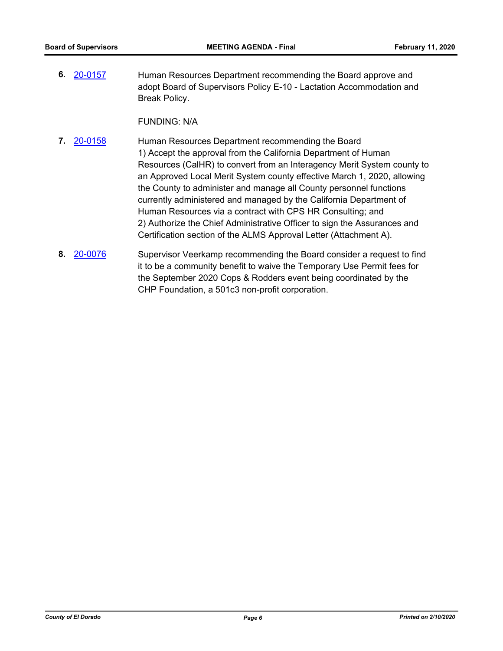Human Resources Department recommending the Board approve and adopt Board of Supervisors Policy E-10 - Lactation Accommodation and Break Policy. **6.** [20-0157](http://eldorado.legistar.com/gateway.aspx?m=l&id=/matter.aspx?key=27362)

FUNDING: N/A

- Human Resources Department recommending the Board 1) Accept the approval from the California Department of Human Resources (CalHR) to convert from an Interagency Merit System county to an Approved Local Merit System county effective March 1, 2020, allowing the County to administer and manage all County personnel functions currently administered and managed by the California Department of Human Resources via a contract with CPS HR Consulting; and 2) Authorize the Chief Administrative Officer to sign the Assurances and Certification section of the ALMS Approval Letter (Attachment A). **7.** [20-0158](http://eldorado.legistar.com/gateway.aspx?m=l&id=/matter.aspx?key=27363)
- Supervisor Veerkamp recommending the Board consider a request to find it to be a community benefit to waive the Temporary Use Permit fees for the September 2020 Cops & Rodders event being coordinated by the CHP Foundation, a 501c3 non-profit corporation. **8.** [20-0076](http://eldorado.legistar.com/gateway.aspx?m=l&id=/matter.aspx?key=27281)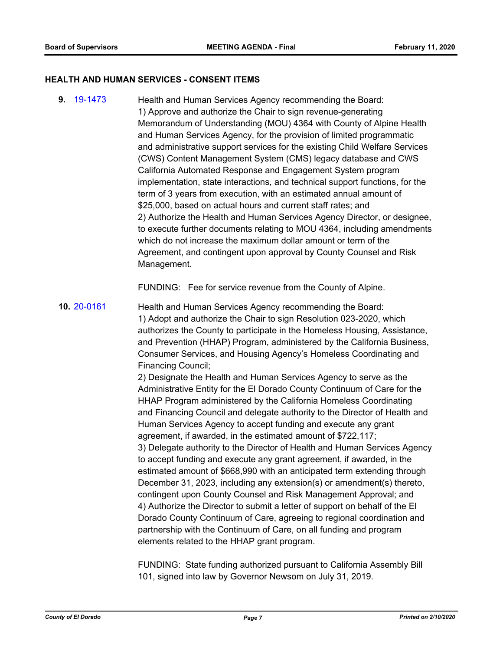#### **HEALTH AND HUMAN SERVICES - CONSENT ITEMS**

Health and Human Services Agency recommending the Board: 1) Approve and authorize the Chair to sign revenue-generating Memorandum of Understanding (MOU) 4364 with County of Alpine Health and Human Services Agency, for the provision of limited programmatic and administrative support services for the existing Child Welfare Services (CWS) Content Management System (CMS) legacy database and CWS California Automated Response and Engagement System program implementation, state interactions, and technical support functions, for the term of 3 years from execution, with an estimated annual amount of \$25,000, based on actual hours and current staff rates; and 2) Authorize the Health and Human Services Agency Director, or designee, to execute further documents relating to MOU 4364, including amendments which do not increase the maximum dollar amount or term of the Agreement, and contingent upon approval by County Counsel and Risk Management. **9.** [19-1473](http://eldorado.legistar.com/gateway.aspx?m=l&id=/matter.aspx?key=26794)

FUNDING: Fee for service revenue from the County of Alpine.

Health and Human Services Agency recommending the Board: 1) Adopt and authorize the Chair to sign Resolution 023-2020, which authorizes the County to participate in the Homeless Housing, Assistance, and Prevention (HHAP) Program, administered by the California Business, Consumer Services, and Housing Agency's Homeless Coordinating and Financing Council; **10.** [20-0161](http://eldorado.legistar.com/gateway.aspx?m=l&id=/matter.aspx?key=27366)

> 2) Designate the Health and Human Services Agency to serve as the Administrative Entity for the El Dorado County Continuum of Care for the HHAP Program administered by the California Homeless Coordinating and Financing Council and delegate authority to the Director of Health and Human Services Agency to accept funding and execute any grant agreement, if awarded, in the estimated amount of \$722,117; 3) Delegate authority to the Director of Health and Human Services Agency to accept funding and execute any grant agreement, if awarded, in the estimated amount of \$668,990 with an anticipated term extending through December 31, 2023, including any extension(s) or amendment(s) thereto, contingent upon County Counsel and Risk Management Approval; and 4) Authorize the Director to submit a letter of support on behalf of the El Dorado County Continuum of Care, agreeing to regional coordination and partnership with the Continuum of Care, on all funding and program elements related to the HHAP grant program.

FUNDING: State funding authorized pursuant to California Assembly Bill 101, signed into law by Governor Newsom on July 31, 2019.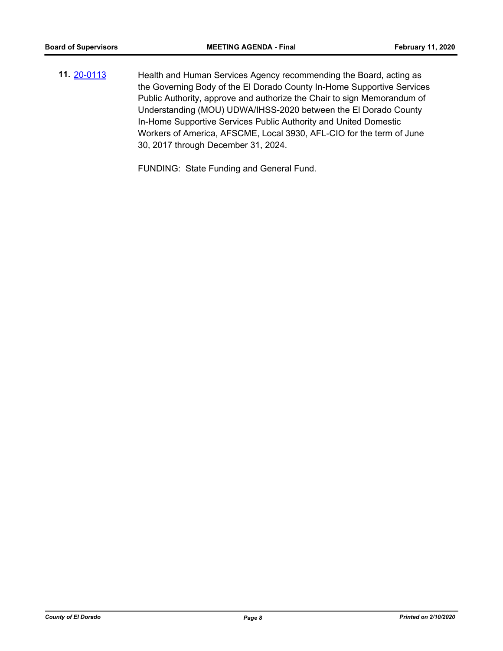Health and Human Services Agency recommending the Board, acting as the Governing Body of the El Dorado County In-Home Supportive Services Public Authority, approve and authorize the Chair to sign Memorandum of Understanding (MOU) UDWA/IHSS-2020 between the El Dorado County In-Home Supportive Services Public Authority and United Domestic Workers of America, AFSCME, Local 3930, AFL-CIO for the term of June 30, 2017 through December 31, 2024. **11.** [20-0113](http://eldorado.legistar.com/gateway.aspx?m=l&id=/matter.aspx?key=27318)

FUNDING: State Funding and General Fund.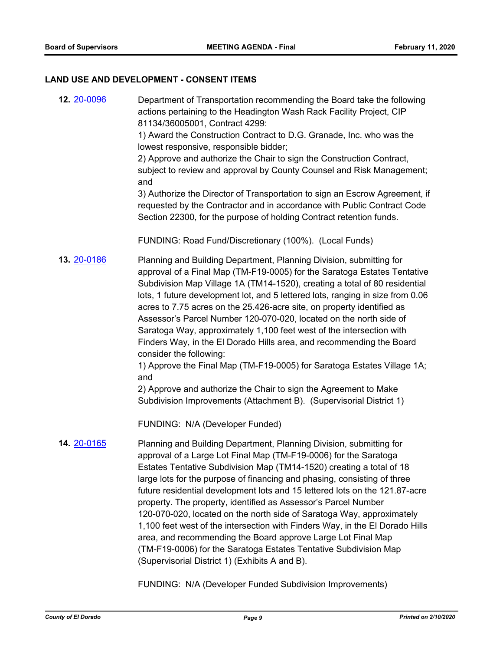#### **LAND USE AND DEVELOPMENT - CONSENT ITEMS**

Department of Transportation recommending the Board take the following actions pertaining to the Headington Wash Rack Facility Project, CIP 81134/36005001, Contract 4299: 1) Award the Construction Contract to D.G. Granade, Inc. who was the lowest responsive, responsible bidder; 2) Approve and authorize the Chair to sign the Construction Contract, subject to review and approval by County Counsel and Risk Management; and 3) Authorize the Director of Transportation to sign an Escrow Agreement, if requested by the Contractor and in accordance with Public Contract Code Section 22300, for the purpose of holding Contract retention funds. FUNDING: Road Fund/Discretionary (100%). (Local Funds) **12.** [20-0096](http://eldorado.legistar.com/gateway.aspx?m=l&id=/matter.aspx?key=27301) Planning and Building Department, Planning Division, submitting for approval of a Final Map (TM-F19-0005) for the Saratoga Estates Tentative Subdivision Map Village 1A (TM14-1520), creating a total of 80 residential lots, 1 future development lot, and 5 lettered lots, ranging in size from 0.06 acres to 7.75 acres on the 25.426-acre site, on property identified as Assessor's Parcel Number 120-070-020, located on the north side of Saratoga Way, approximately 1,100 feet west of the intersection with Finders Way, in the El Dorado Hills area, and recommending the Board consider the following: 1) Approve the Final Map (TM-F19-0005) for Saratoga Estates Village 1A; and 2) Approve and authorize the Chair to sign the Agreement to Make Subdivision Improvements (Attachment B). (Supervisorial District 1) FUNDING: N/A (Developer Funded) **13.** [20-0186](http://eldorado.legistar.com/gateway.aspx?m=l&id=/matter.aspx?key=27391) Planning and Building Department, Planning Division, submitting for approval of a Large Lot Final Map (TM-F19-0006) for the Saratoga Estates Tentative Subdivision Map (TM14-1520) creating a total of 18 large lots for the purpose of financing and phasing, consisting of three future residential development lots and 15 lettered lots on the 121.87-acre property. The property, identified as Assessor's Parcel Number 120-070-020, located on the north side of Saratoga Way, approximately 1,100 feet west of the intersection with Finders Way, in the El Dorado Hills **14.** [20-0165](http://eldorado.legistar.com/gateway.aspx?m=l&id=/matter.aspx?key=27370)

> area, and recommending the Board approve Large Lot Final Map (TM-F19-0006) for the Saratoga Estates Tentative Subdivision Map (Supervisorial District 1) (Exhibits A and B).

FUNDING: N/A (Developer Funded Subdivision Improvements)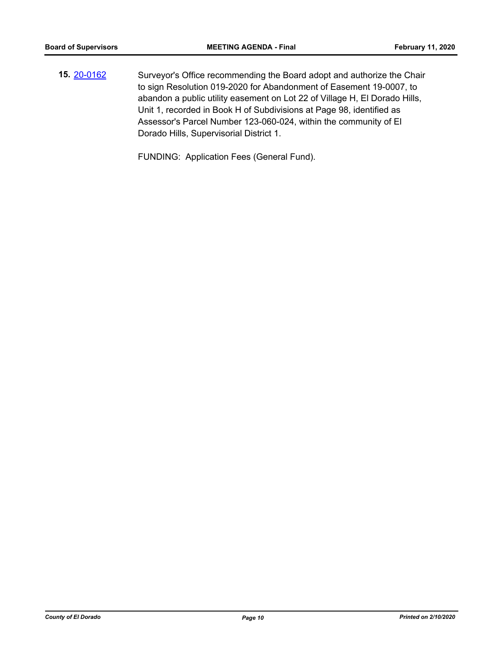Surveyor's Office recommending the Board adopt and authorize the Chair to sign Resolution 019-2020 for Abandonment of Easement 19-0007, to abandon a public utility easement on Lot 22 of Village H, El Dorado Hills, Unit 1, recorded in Book H of Subdivisions at Page 98, identified as Assessor's Parcel Number 123-060-024, within the community of El Dorado Hills, Supervisorial District 1. **15.** [20-0162](http://eldorado.legistar.com/gateway.aspx?m=l&id=/matter.aspx?key=27367)

FUNDING: Application Fees (General Fund).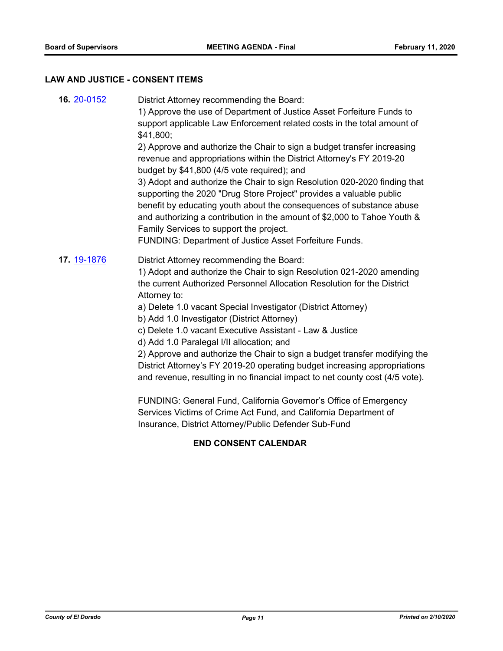## **LAW AND JUSTICE - CONSENT ITEMS**

| 16. 20-0152 | District Attorney recommending the Board:<br>1) Approve the use of Department of Justice Asset Forfeiture Funds to<br>support applicable Law Enforcement related costs in the total amount of<br>\$41,800;<br>2) Approve and authorize the Chair to sign a budget transfer increasing<br>revenue and appropriations within the District Attorney's FY 2019-20<br>budget by \$41,800 (4/5 vote required); and<br>3) Adopt and authorize the Chair to sign Resolution 020-2020 finding that<br>supporting the 2020 "Drug Store Project" provides a valuable public<br>benefit by educating youth about the consequences of substance abuse<br>and authorizing a contribution in the amount of \$2,000 to Tahoe Youth &<br>Family Services to support the project.<br>FUNDING: Department of Justice Asset Forfeiture Funds.                                                          |
|-------------|------------------------------------------------------------------------------------------------------------------------------------------------------------------------------------------------------------------------------------------------------------------------------------------------------------------------------------------------------------------------------------------------------------------------------------------------------------------------------------------------------------------------------------------------------------------------------------------------------------------------------------------------------------------------------------------------------------------------------------------------------------------------------------------------------------------------------------------------------------------------------------|
| 17. 19-1876 | District Attorney recommending the Board:<br>1) Adopt and authorize the Chair to sign Resolution 021-2020 amending<br>the current Authorized Personnel Allocation Resolution for the District<br>Attorney to:<br>a) Delete 1.0 vacant Special Investigator (District Attorney)<br>b) Add 1.0 Investigator (District Attorney)<br>c) Delete 1.0 vacant Executive Assistant - Law & Justice<br>d) Add 1.0 Paralegal I/II allocation; and<br>2) Approve and authorize the Chair to sign a budget transfer modifying the<br>District Attorney's FY 2019-20 operating budget increasing appropriations<br>and revenue, resulting in no financial impact to net county cost (4/5 vote).<br>FUNDING: General Fund, California Governor's Office of Emergency<br>Services Victims of Crime Act Fund, and California Department of<br>Insurance, District Attorney/Public Defender Sub-Fund |

#### **END CONSENT CALENDAR**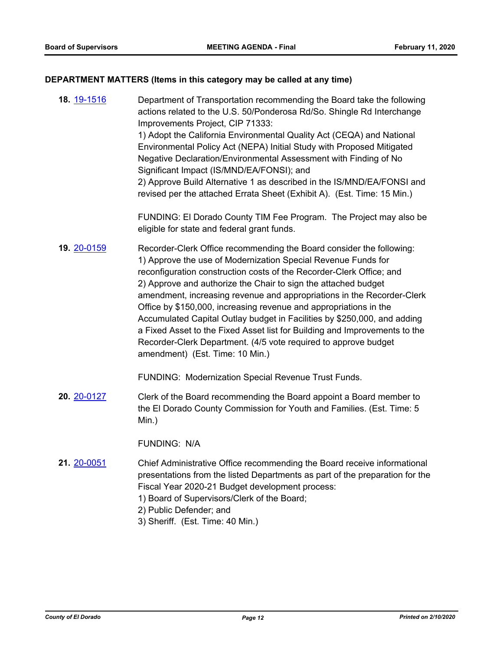# **DEPARTMENT MATTERS (Items in this category may be called at any time)**

| 18. 19-1516 | Department of Transportation recommending the Board take the following<br>actions related to the U.S. 50/Ponderosa Rd/So. Shingle Rd Interchange<br>Improvements Project, CIP 71333:<br>1) Adopt the California Environmental Quality Act (CEQA) and National<br>Environmental Policy Act (NEPA) Initial Study with Proposed Mitigated<br>Negative Declaration/Environmental Assessment with Finding of No<br>Significant Impact (IS/MND/EA/FONSI); and<br>2) Approve Build Alternative 1 as described in the IS/MND/EA/FONSI and<br>revised per the attached Errata Sheet (Exhibit A). (Est. Time: 15 Min.)                                                                                   |
|-------------|------------------------------------------------------------------------------------------------------------------------------------------------------------------------------------------------------------------------------------------------------------------------------------------------------------------------------------------------------------------------------------------------------------------------------------------------------------------------------------------------------------------------------------------------------------------------------------------------------------------------------------------------------------------------------------------------|
|             | FUNDING: El Dorado County TIM Fee Program. The Project may also be<br>eligible for state and federal grant funds.                                                                                                                                                                                                                                                                                                                                                                                                                                                                                                                                                                              |
| 19. 20-0159 | Recorder-Clerk Office recommending the Board consider the following:<br>1) Approve the use of Modernization Special Revenue Funds for<br>reconfiguration construction costs of the Recorder-Clerk Office; and<br>2) Approve and authorize the Chair to sign the attached budget<br>amendment, increasing revenue and appropriations in the Recorder-Clerk<br>Office by \$150,000, increasing revenue and appropriations in the<br>Accumulated Capital Outlay budget in Facilities by \$250,000, and adding<br>a Fixed Asset to the Fixed Asset list for Building and Improvements to the<br>Recorder-Clerk Department. (4/5 vote required to approve budget<br>amendment) (Est. Time: 10 Min.) |
|             | FUNDING: Modernization Special Revenue Trust Funds.                                                                                                                                                                                                                                                                                                                                                                                                                                                                                                                                                                                                                                            |
| 20. 20-0127 | Clerk of the Board recommending the Board appoint a Board member to<br>the El Dorado County Commission for Youth and Families. (Est. Time: 5<br>Min.)                                                                                                                                                                                                                                                                                                                                                                                                                                                                                                                                          |
|             | <b>FUNDING: N/A</b>                                                                                                                                                                                                                                                                                                                                                                                                                                                                                                                                                                                                                                                                            |
| 21. 20-0051 | Chief Administrative Office recommending the Board receive informational<br>presentations from the listed Departments as part of the preparation for the<br>Fiscal Year 2020-21 Budget development process:<br>1) Board of Supervisors/Clerk of the Board;<br>2) Public Defender; and<br>3) Sheriff. (Est. Time: 40 Min.)                                                                                                                                                                                                                                                                                                                                                                      |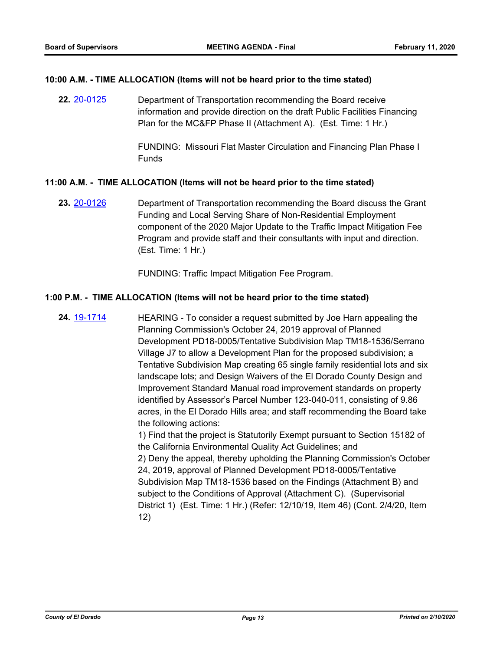#### **10:00 A.M. - TIME ALLOCATION (Items will not be heard prior to the time stated)**

Department of Transportation recommending the Board receive information and provide direction on the draft Public Facilities Financing Plan for the MC&FP Phase II (Attachment A). (Est. Time: 1 Hr.) **22.** [20-0125](http://eldorado.legistar.com/gateway.aspx?m=l&id=/matter.aspx?key=27330)

> FUNDING: Missouri Flat Master Circulation and Financing Plan Phase I Funds

#### **11:00 A.M. - TIME ALLOCATION (Items will not be heard prior to the time stated)**

Department of Transportation recommending the Board discuss the Grant Funding and Local Serving Share of Non-Residential Employment component of the 2020 Major Update to the Traffic Impact Mitigation Fee Program and provide staff and their consultants with input and direction. (Est. Time: 1 Hr.) **23.** [20-0126](http://eldorado.legistar.com/gateway.aspx?m=l&id=/matter.aspx?key=27331)

FUNDING: Traffic Impact Mitigation Fee Program.

#### **1:00 P.M. - TIME ALLOCATION (Items will not be heard prior to the time stated)**

HEARING - To consider a request submitted by Joe Harn appealing the Planning Commission's October 24, 2019 approval of Planned Development PD18-0005/Tentative Subdivision Map TM18-1536/Serrano Village J7 to allow a Development Plan for the proposed subdivision; a Tentative Subdivision Map creating 65 single family residential lots and six landscape lots; and Design Waivers of the El Dorado County Design and Improvement Standard Manual road improvement standards on property identified by Assessor's Parcel Number 123-040-011, consisting of 9.86 acres, in the El Dorado Hills area; and staff recommending the Board take the following actions: 1) Find that the project is Statutorily Exempt pursuant to Section 15182 of **24.** [19-1714](http://eldorado.legistar.com/gateway.aspx?m=l&id=/matter.aspx?key=27038)

the California Environmental Quality Act Guidelines; and 2) Deny the appeal, thereby upholding the Planning Commission's October 24, 2019, approval of Planned Development PD18-0005/Tentative Subdivision Map TM18-1536 based on the Findings (Attachment B) and subject to the Conditions of Approval (Attachment C). (Supervisorial District 1) (Est. Time: 1 Hr.) (Refer: 12/10/19, Item 46) (Cont. 2/4/20, Item 12)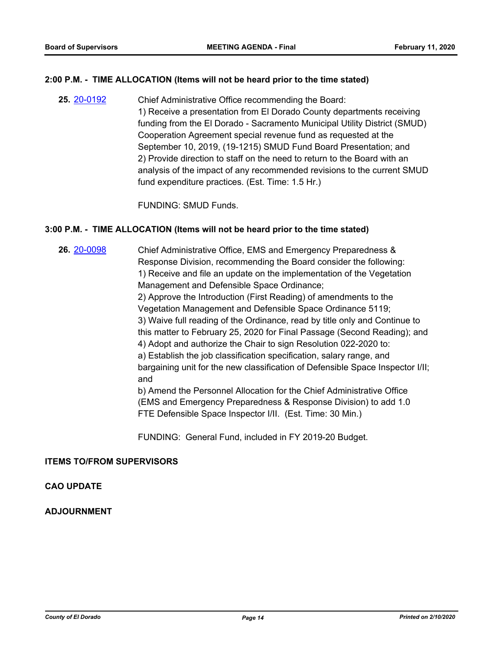#### **2:00 P.M. - TIME ALLOCATION (Items will not be heard prior to the time stated)**

Chief Administrative Office recommending the Board: 1) Receive a presentation from El Dorado County departments receiving funding from the El Dorado - Sacramento Municipal Utility District (SMUD) Cooperation Agreement special revenue fund as requested at the September 10, 2019, (19-1215) SMUD Fund Board Presentation; and 2) Provide direction to staff on the need to return to the Board with an analysis of the impact of any recommended revisions to the current SMUD fund expenditure practices. (Est. Time: 1.5 Hr.) **25.** [20-0192](http://eldorado.legistar.com/gateway.aspx?m=l&id=/matter.aspx?key=27397)

FUNDING: SMUD Funds.

#### **3:00 P.M. - TIME ALLOCATION (Items will not be heard prior to the time stated)**

**26.** [20-0098](http://eldorado.legistar.com/gateway.aspx?m=l&id=/matter.aspx?key=27303)

Chief Administrative Office, EMS and Emergency Preparedness & Response Division, recommending the Board consider the following: 1) Receive and file an update on the implementation of the Vegetation Management and Defensible Space Ordinance; 2) Approve the Introduction (First Reading) of amendments to the Vegetation Management and Defensible Space Ordinance 5119; 3) Waive full reading of the Ordinance, read by title only and Continue to this matter to February 25, 2020 for Final Passage (Second Reading); and 4) Adopt and authorize the Chair to sign Resolution 022-2020 to: a) Establish the job classification specification, salary range, and bargaining unit for the new classification of Defensible Space Inspector I/II; and b) Amend the Personnel Allocation for the Chief Administrative Office

(EMS and Emergency Preparedness & Response Division) to add 1.0 FTE Defensible Space Inspector I/II. (Est. Time: 30 Min.)

FUNDING: General Fund, included in FY 2019-20 Budget.

#### **ITEMS TO/FROM SUPERVISORS**

#### **CAO UPDATE**

#### **ADJOURNMENT**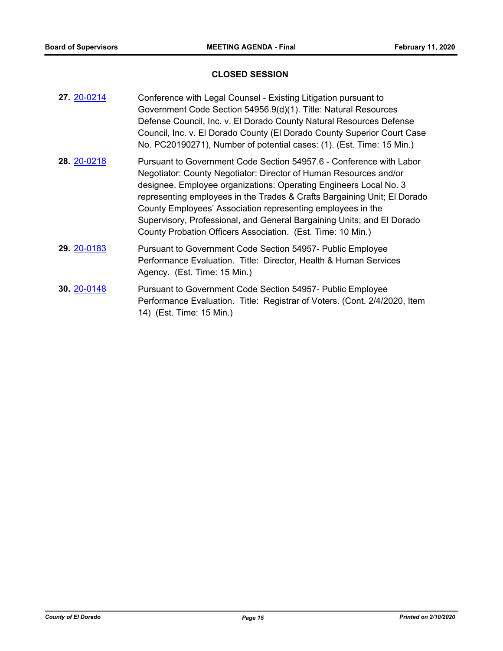### **CLOSED SESSION**

| 27. 20-0214 | Conference with Legal Counsel - Existing Litigation pursuant to<br>Government Code Section 54956.9(d)(1). Title: Natural Resources<br>Defense Council, Inc. v. El Dorado County Natural Resources Defense<br>Council, Inc. v. El Dorado County (El Dorado County Superior Court Case<br>No. PC20190271), Number of potential cases: (1). (Est. Time: 15 Min.)                                                                                                                                     |
|-------------|---------------------------------------------------------------------------------------------------------------------------------------------------------------------------------------------------------------------------------------------------------------------------------------------------------------------------------------------------------------------------------------------------------------------------------------------------------------------------------------------------|
| 28. 20-0218 | Pursuant to Government Code Section 54957.6 - Conference with Labor<br>Negotiator: County Negotiator: Director of Human Resources and/or<br>designee. Employee organizations: Operating Engineers Local No. 3<br>representing employees in the Trades & Crafts Bargaining Unit; El Dorado<br>County Employees' Association representing employees in the<br>Supervisory, Professional, and General Bargaining Units; and El Dorado<br>County Probation Officers Association. (Est. Time: 10 Min.) |
| 29. 20-0183 | Pursuant to Government Code Section 54957- Public Employee<br>Performance Evaluation. Title: Director, Health & Human Services<br>Agency. (Est. Time: 15 Min.)                                                                                                                                                                                                                                                                                                                                    |
| 30. 20-0148 | Pursuant to Government Code Section 54957- Public Employee<br>Performance Evaluation. Title: Registrar of Voters. (Cont. 2/4/2020, Item<br>14) (Est. Time: 15 Min.)                                                                                                                                                                                                                                                                                                                               |